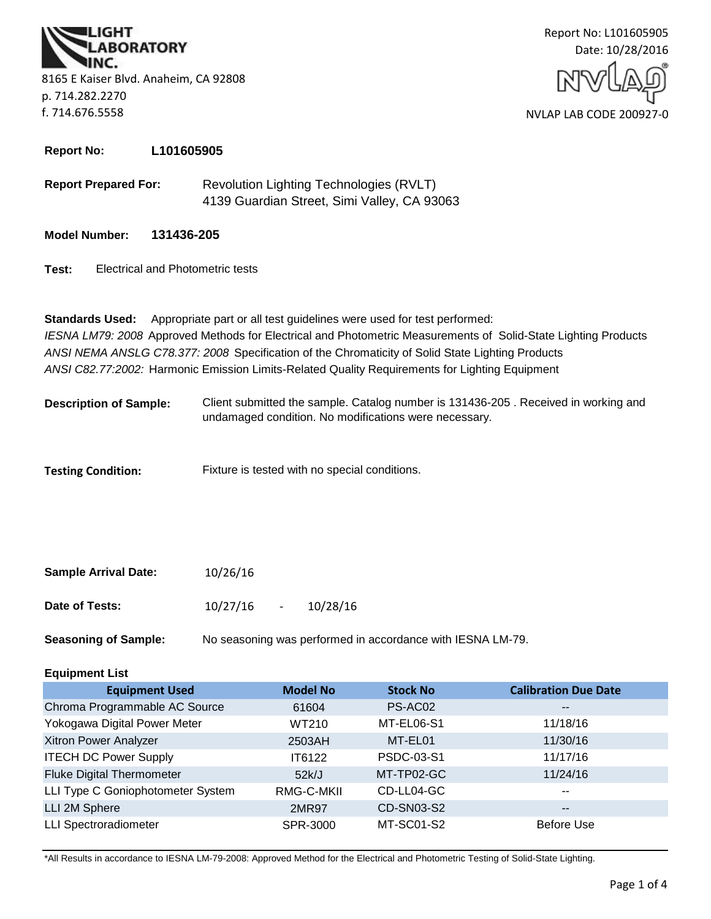**BORATORY** 8165 E Kaiser Blvd. Anaheim, CA 92808 p. 714.282.2270 f. 714.676.5558



**Report No: L101605905**

**Report Prepared For:** Revolution Lighting Technologies (RVLT) 4139 Guardian Street, Simi Valley, CA 93063

**Model Number: 131436-205**

**Test:** Electrical and Photometric tests

*ANSI C82.77:2002:* Harmonic Emission Limits-Related Quality Requirements for Lighting Equipment **Standards Used:** Appropriate part or all test guidelines were used for test performed: *IESNA LM79: 2008* Approved Methods for Electrical and Photometric Measurements of Solid-State Lighting Products *ANSI NEMA ANSLG C78.377: 2008* Specification of the Chromaticity of Solid State Lighting Products

Client submitted the sample. Catalog number is 131436-205 . Received in working and undamaged condition. No modifications were necessary. **Description of Sample:**

**Testing Condition:** Fixture is tested with no special conditions.

| <b>Sample Arrival Date:</b> | 10/26/16 |        |          |
|-----------------------------|----------|--------|----------|
| Date of Tests:              | 10/27/16 | $\sim$ | 10/28/16 |

**Seasoning of Sample:** No seasoning was performed in accordance with IESNA LM-79.

## **Equipment List**

| <b>Equipment Used</b>             | <b>Model No</b> | <b>Stock No</b> | <b>Calibration Due Date</b> |
|-----------------------------------|-----------------|-----------------|-----------------------------|
| Chroma Programmable AC Source     | 61604           | PS-AC02         | $\overline{\phantom{m}}$    |
| Yokogawa Digital Power Meter      | WT210           | MT-EL06-S1      | 11/18/16                    |
| Xitron Power Analyzer             | 2503AH          | MT-EL01         | 11/30/16                    |
| <b>ITECH DC Power Supply</b>      | IT6122          | PSDC-03-S1      | 11/17/16                    |
| <b>Fluke Digital Thermometer</b>  | 52k/J           | MT-TP02-GC      | 11/24/16                    |
| LLI Type C Goniophotometer System | RMG-C-MKII      | CD-LL04-GC      | $\sim$ $\sim$               |
| LLI 2M Sphere                     | 2MR97           | CD-SN03-S2      | $\overline{\phantom{m}}$    |
| <b>LLI Spectroradiometer</b>      | SPR-3000        | MT-SC01-S2      | <b>Before Use</b>           |

\*All Results in accordance to IESNA LM-79-2008: Approved Method for the Electrical and Photometric Testing of Solid-State Lighting.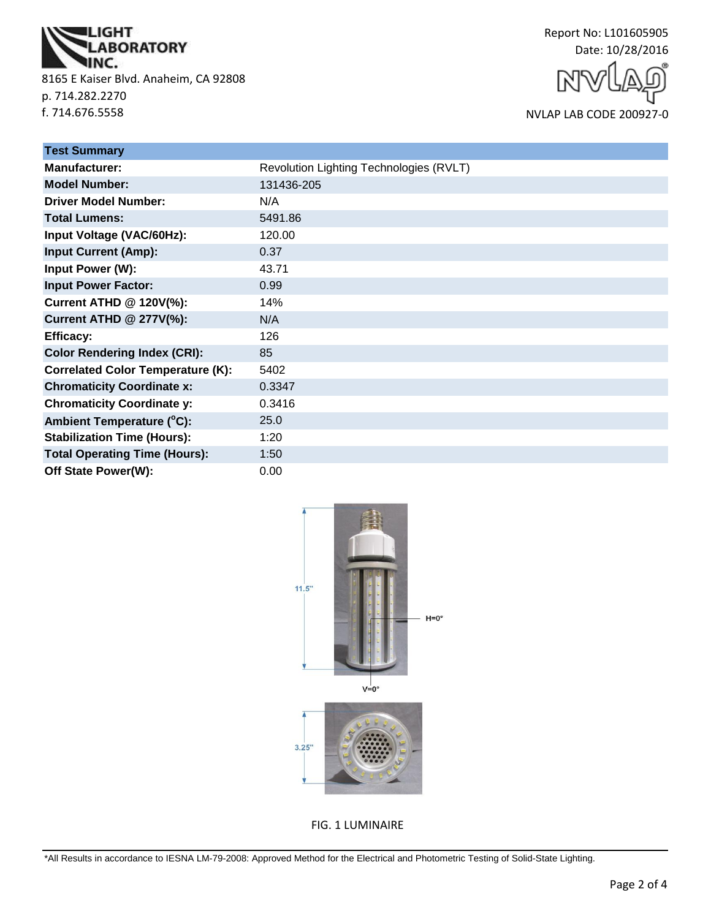

8165 E Kaiser Blvd. Anaheim, CA 92808 p. 714.282.2270 f. 714.676.5558

Report No: L101605905 Date: 10/28/2016

NVLAP LAB CODE 200927-0

| <b>Test Summary</b>                      |                                         |
|------------------------------------------|-----------------------------------------|
| Manufacturer:                            | Revolution Lighting Technologies (RVLT) |
| <b>Model Number:</b>                     | 131436-205                              |
| <b>Driver Model Number:</b>              | N/A                                     |
| <b>Total Lumens:</b>                     | 5491.86                                 |
| Input Voltage (VAC/60Hz):                | 120.00                                  |
| <b>Input Current (Amp):</b>              | 0.37                                    |
| Input Power (W):                         | 43.71                                   |
| <b>Input Power Factor:</b>               | 0.99                                    |
| <b>Current ATHD @ 120V(%):</b>           | 14%                                     |
| <b>Current ATHD @ 277V(%):</b>           | N/A                                     |
| <b>Efficacy:</b>                         | 126                                     |
| <b>Color Rendering Index (CRI):</b>      | 85                                      |
| <b>Correlated Color Temperature (K):</b> | 5402                                    |
| <b>Chromaticity Coordinate x:</b>        | 0.3347                                  |
| <b>Chromaticity Coordinate y:</b>        | 0.3416                                  |
| Ambient Temperature (°C):                | 25.0                                    |
| <b>Stabilization Time (Hours):</b>       | 1:20                                    |
| <b>Total Operating Time (Hours):</b>     | 1:50                                    |
| Off State Power(W):                      | 0.00                                    |



FIG. 1 LUMINAIRE

\*All Results in accordance to IESNA LM-79-2008: Approved Method for the Electrical and Photometric Testing of Solid-State Lighting.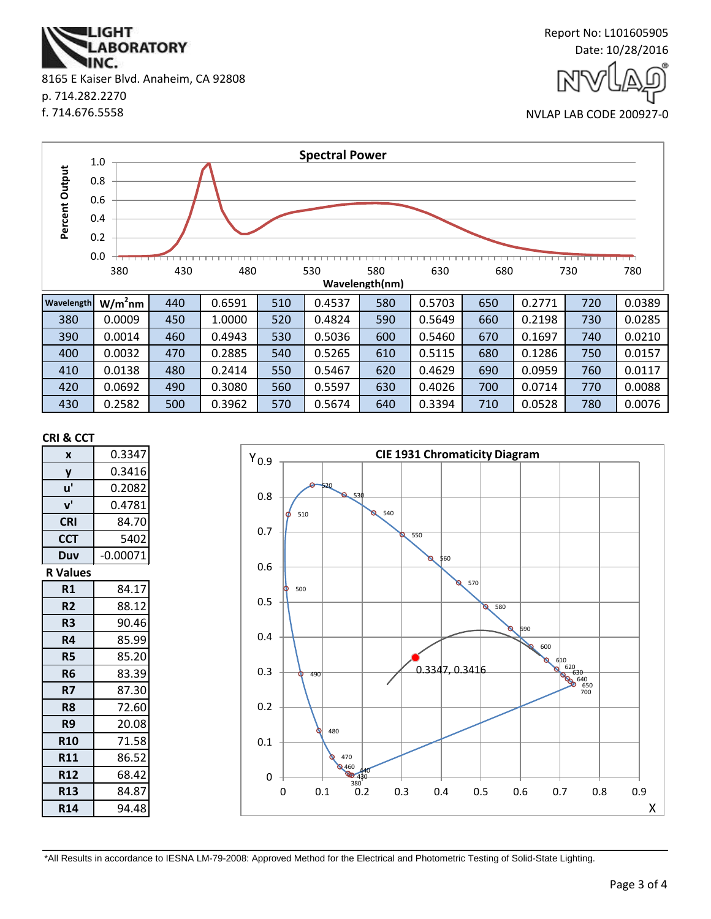**ABORATORY** INC. 8165 E Kaiser Blvd. Anaheim, CA 92808 p. 714.282.2270 f. 714.676.5558

**IGHT** 



NVLAP LAB CODE 200927-0



#### **CRI & CCT**

| X               | 0.3347     |
|-----------------|------------|
| y               | 0.3416     |
| u'              | 0.2082     |
| $V^{\prime}$    | 0.4781     |
| <b>CRI</b>      | 84.70      |
| <b>CCT</b>      | 5402       |
| Duv             | $-0.00071$ |
| <b>R</b> Values |            |
| R1              | 84.17      |
| R <sub>2</sub>  | 88.12      |
| R3              | 90.46      |
| R4              | 85.99      |
| R5              | 85.20      |
| R <sub>6</sub>  | 83.39      |
| R7              | 87.30      |
| R8              | 72.60      |
| R9              | 20.08      |
| <b>R10</b>      | 71.58      |
| <b>R11</b>      | 86.52      |
| <b>R12</b>      | 68.42      |
| <b>R13</b>      | 84.87      |
| <b>R14</b>      | 94.48      |



\*All Results in accordance to IESNA LM-79-2008: Approved Method for the Electrical and Photometric Testing of Solid-State Lighting.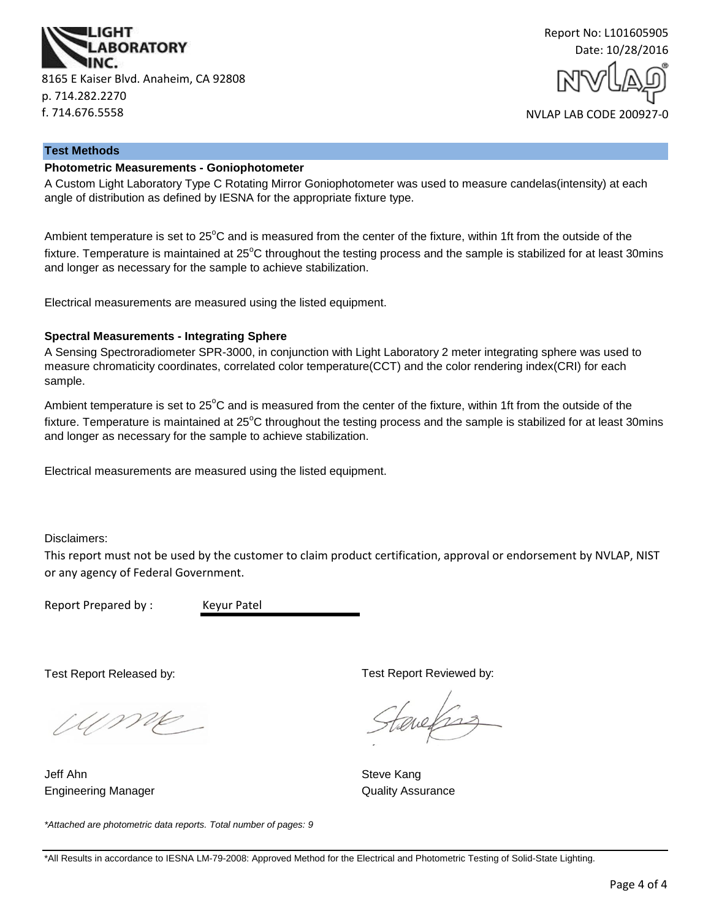



#### **Test Methods**

#### **Photometric Measurements - Goniophotometer**

A Custom Light Laboratory Type C Rotating Mirror Goniophotometer was used to measure candelas(intensity) at each angle of distribution as defined by IESNA for the appropriate fixture type.

Ambient temperature is set to 25<sup>°</sup>C and is measured from the center of the fixture, within 1ft from the outside of the fixture. Temperature is maintained at  $25^{\circ}$ C throughout the testing process and the sample is stabilized for at least 30mins and longer as necessary for the sample to achieve stabilization.

Electrical measurements are measured using the listed equipment.

#### **Spectral Measurements - Integrating Sphere**

A Sensing Spectroradiometer SPR-3000, in conjunction with Light Laboratory 2 meter integrating sphere was used to measure chromaticity coordinates, correlated color temperature(CCT) and the color rendering index(CRI) for each sample.

Ambient temperature is set to  $25^{\circ}$ C and is measured from the center of the fixture, within 1ft from the outside of the fixture. Temperature is maintained at  $25^{\circ}$ C throughout the testing process and the sample is stabilized for at least 30mins and longer as necessary for the sample to achieve stabilization.

Electrical measurements are measured using the listed equipment.

Disclaimers:

This report must not be used by the customer to claim product certification, approval or endorsement by NVLAP, NIST or any agency of Federal Government.

Report Prepared by : Keyur Patel

Test Report Released by:

UME

Engineering Manager **Contains a Strutter Contains a Container Contains A**uality Assurance Jeff Ahn Steve Kang

*\*Attached are photometric data reports. Total number of pages: 9*

Test Report Reviewed by:

auchs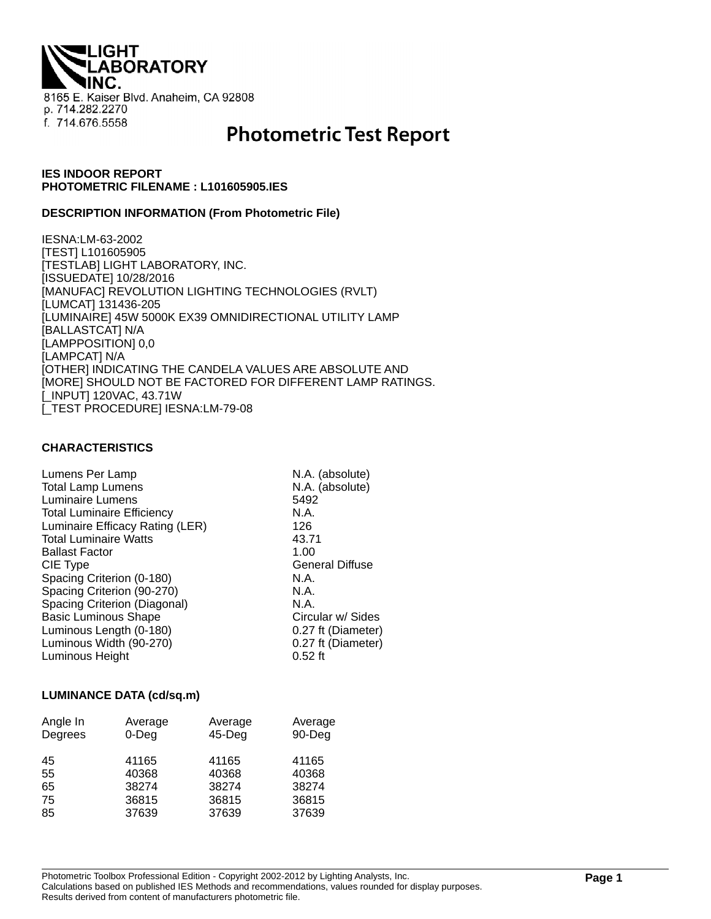**IGHT ABORATORY** 8165 E. Kaiser Blvd. Anaheim, CA 92808 p. 714.282.2270 f. 714.676.5558

# **Photometric Test Report**

### **IES INDOOR REPORT PHOTOMETRIC FILENAME : L101605905.IES**

#### **DESCRIPTION INFORMATION (From Photometric File)**

IESNA:LM-63-2002 [TEST] L101605905 [TESTLAB] LIGHT LABORATORY, INC. [ISSUEDATE] 10/28/2016 [MANUFAC] REVOLUTION LIGHTING TECHNOLOGIES (RVLT) [LUMCAT] 131436-205 [LUMINAIRE] 45W 5000K EX39 OMNIDIRECTIONAL UTILITY LAMP [BALLASTCAT] N/A [LAMPPOSITION] 0,0 [LAMPCAT] N/A [OTHER] INDICATING THE CANDELA VALUES ARE ABSOLUTE AND [MORE] SHOULD NOT BE FACTORED FOR DIFFERENT LAMP RATINGS. [\_INPUT] 120VAC, 43.71W [\_TEST PROCEDURE] IESNA:LM-79-08

#### **CHARACTERISTICS**

| Lumens Per Lamp                   | N.A. (absolute)        |
|-----------------------------------|------------------------|
| <b>Total Lamp Lumens</b>          | N.A. (absolute)        |
| Luminaire Lumens                  | 5492                   |
| <b>Total Luminaire Efficiency</b> | N.A.                   |
| Luminaire Efficacy Rating (LER)   | 126                    |
| <b>Total Luminaire Watts</b>      | 43.71                  |
| <b>Ballast Factor</b>             | 1.00                   |
| CIE Type                          | <b>General Diffuse</b> |
| Spacing Criterion (0-180)         | N.A.                   |
| Spacing Criterion (90-270)        | N.A.                   |
| Spacing Criterion (Diagonal)      | N.A.                   |
| <b>Basic Luminous Shape</b>       | Circular w/ Sides      |
| Luminous Length (0-180)           | 0.27 ft (Diameter)     |
| Luminous Width (90-270)           | 0.27 ft (Diameter)     |
| Luminous Height                   | $0.52$ ft              |

#### **LUMINANCE DATA (cd/sq.m)**

| Angle In<br>Degrees | Average<br>$0$ -Deg | Average<br>$45$ -Deg | Average<br>90-Deg |
|---------------------|---------------------|----------------------|-------------------|
| 45                  | 41165               | 41165                | 41165             |
| 55                  | 40368               | 40368                | 40368             |
| 65                  | 38274               | 38274                | 38274             |
| 75                  | 36815               | 36815                | 36815             |
| 85                  | 37639               | 37639                | 37639             |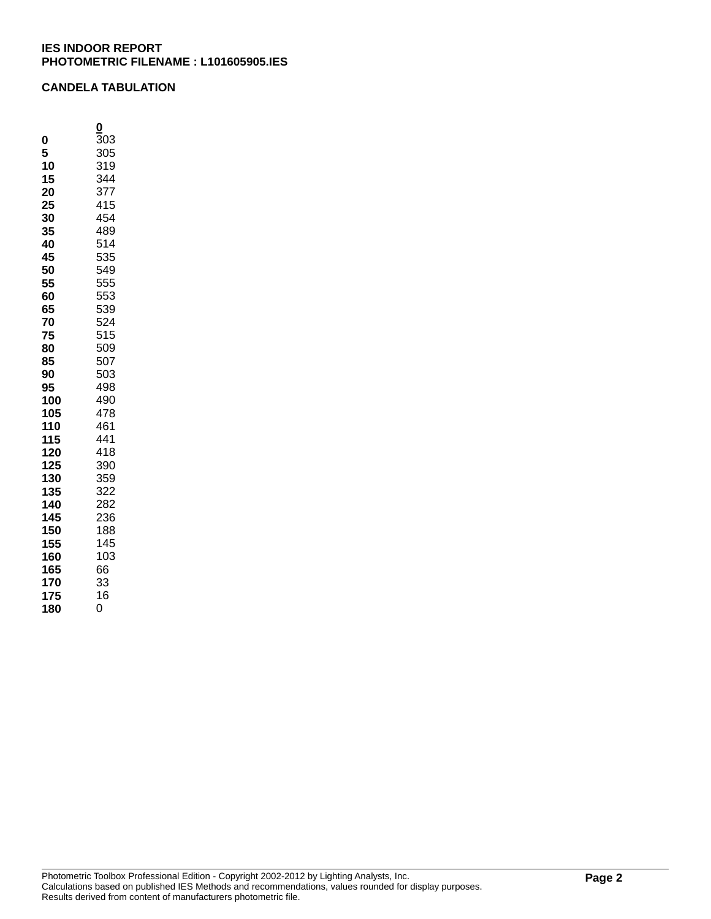## **CANDELA TABULATION**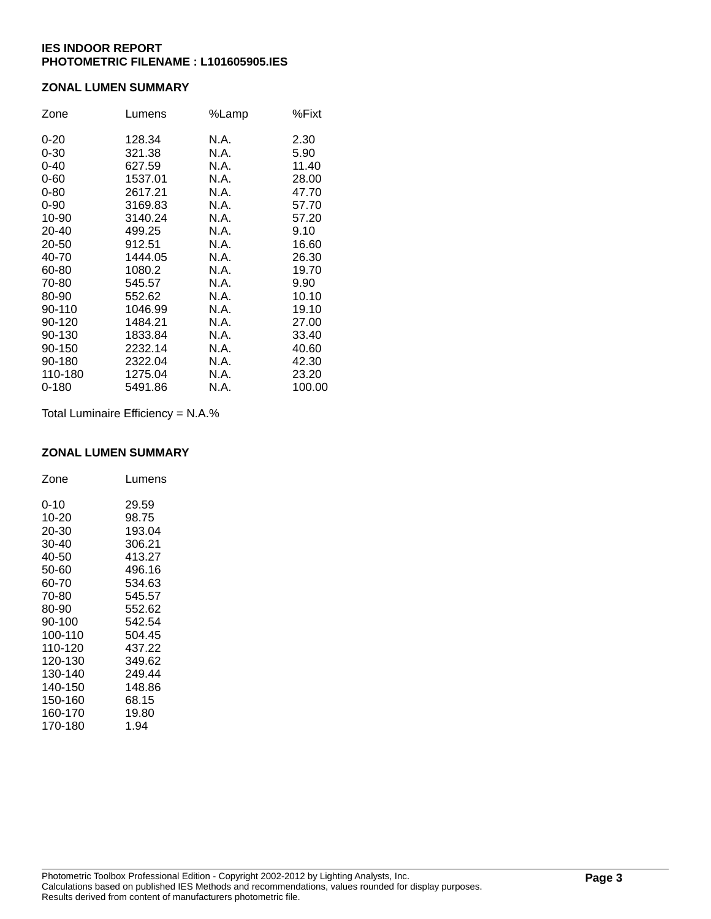## **ZONAL LUMEN SUMMARY**

| Zone      | Lumens  | %Lamp | %Fixt  |
|-----------|---------|-------|--------|
| $0 - 20$  | 128.34  | N.A.  | 2.30   |
| $0 - 30$  | 321.38  | N.A.  | 5.90   |
| $0 - 40$  | 627.59  | N.A.  | 11.40  |
| $0 - 60$  | 1537.01 | N.A.  | 28.00  |
| $0 - 80$  | 2617.21 | N.A.  | 47.70  |
| $0 - 90$  | 3169.83 | N.A.  | 57.70  |
| 10-90     | 3140.24 | N.A.  | 57.20  |
| 20-40     | 499.25  | N.A.  | 9.10   |
| 20-50     | 912.51  | N.A.  | 16.60  |
| 40-70     | 1444.05 | N.A.  | 26.30  |
| 60-80     | 1080.2  | N.A.  | 19.70  |
| 70-80     | 545.57  | N.A.  | 9.90   |
| 80-90     | 552.62  | N.A.  | 10.10  |
| 90-110    | 1046.99 | N.A.  | 19.10  |
| 90-120    | 1484.21 | N.A.  | 27.00  |
| 90-130    | 1833.84 | N.A.  | 33.40  |
| 90-150    | 2232.14 | N.A.  | 40.60  |
| 90-180    | 2322.04 | N.A.  | 42.30  |
| 110-180   | 1275.04 | N.A.  | 23.20  |
| $0 - 180$ | 5491.86 | N.A.  | 100.00 |

Total Luminaire Efficiency = N.A.%

#### **ZONAL LUMEN SUMMARY**

| Zone     | Lumens |
|----------|--------|
| $0 - 10$ | 29.59  |
| 10-20    | 98.75  |
| 20-30    | 193.04 |
| 30-40    | 306.21 |
| 40-50    | 413.27 |
| 50-60    | 496.16 |
| 60-70    | 534.63 |
| 70-80    | 545.57 |
| 80-90    | 552.62 |
| 90-100   | 542.54 |
| 100-110  | 504.45 |
| 110-120  | 437.22 |
| 120-130  | 349.62 |
| 130-140  | 249.44 |
| 140-150  | 148.86 |
| 150-160  | 68.15  |
| 160-170  | 19.80  |
| 170-180  | 1.94   |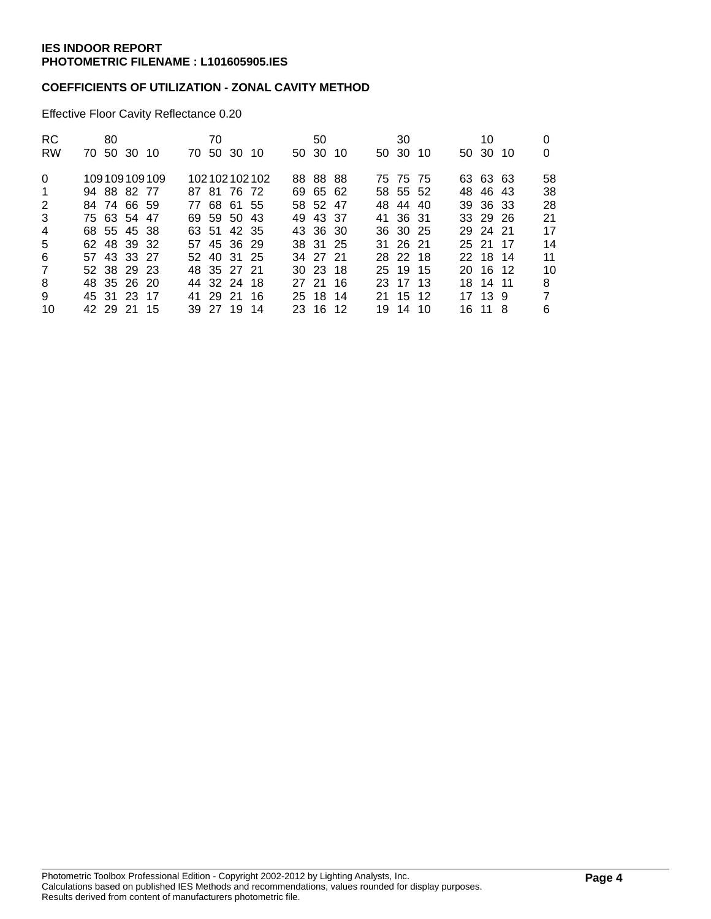## **COEFFICIENTS OF UTILIZATION - ZONAL CAVITY METHOD**

Effective Floor Cavity Reflectance 0.20

| RC.<br><b>RW</b> | 70 50 30 10 | 80 |              | 70 | 70 50 30 10 |              | 50<br>50 30 10 |  | 30<br>50 30 10 |  | 10<br>50 30 10 | 0              |
|------------------|-------------|----|--------------|----|-------------|--------------|----------------|--|----------------|--|----------------|----------------|
| $\Omega$         |             |    | 109109109109 |    |             | 102102102102 | 88 88 88       |  | 75 75 75       |  | 63 63 63       | 58             |
| $\overline{1}$   | 94 88 82 77 |    |              |    | 87 81 76 72 |              | 69 65 62       |  | 58 55 52       |  | 48 46 43       | 38             |
| 2                | 84 74 66 59 |    |              |    | 77 68 61 55 |              | 58 52 47       |  | 48 44 40       |  | 39 36 33       | 28             |
| 3                | 75 63 54 47 |    |              |    | 69 59 50 43 |              | 49 43 37       |  | 41 36 31       |  | 33 29 26       | 21             |
| $\overline{4}$   | 68 55 45 38 |    |              |    | 63 51 42 35 |              | 43 36 30       |  | 36 30 25       |  | 29 24 21       | 17             |
| 5                | 62 48 39 32 |    |              |    | 57 45 36 29 |              | 38 31 25       |  | 31 26 21       |  | 25 21 17       | 14             |
| 6                | 57 43 33 27 |    |              |    | 52 40 31 25 |              | 34 27 21       |  | 28 22 18       |  | 22 18 14       | 11             |
| $\overline{7}$   | 52 38 29 23 |    |              |    | 48 35 27 21 |              | 30 23 18       |  | 25 19 15       |  | 20 16 12       | 10             |
| 8                | 48 35 26 20 |    |              |    | 44 32 24 18 |              | 27 21 16       |  | 23 17 13       |  | 18 14 11       | 8              |
| 9                | 45 31 23 17 |    |              |    | 41 29 21 16 |              | 25 18 14       |  | 21 15 12       |  | 17 13 9        | $\overline{7}$ |
| 10               | 42 29 21 15 |    |              |    | 39 27 19 14 |              | 23 16 12       |  | 19 14 10       |  | 16 11 8        | 6              |